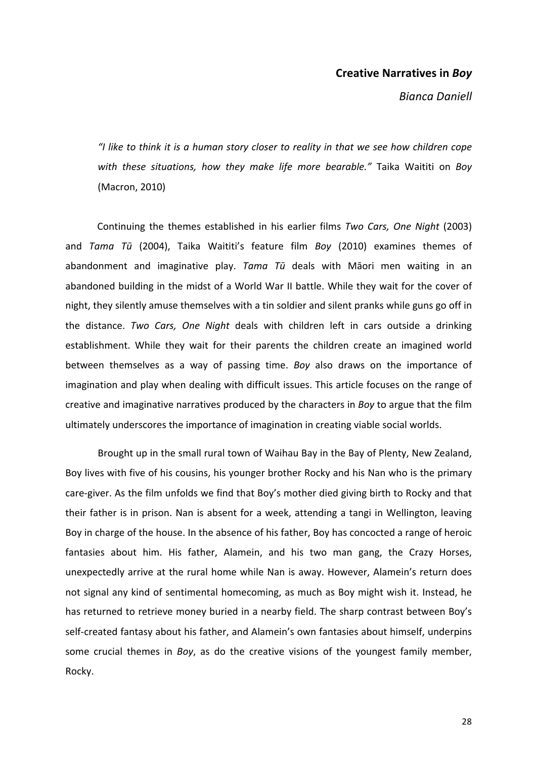## **Creative Narratives in Boy**

*Bianca Daniell*

"I like to think it is a human story closer to reality in that we see how children cope with these situations, how they make life more bearable." Taika Waititi on Boy (Macron, 2010)

Continuing the themes established in his earlier films *Two Cars, One Night* (2003) and *Tama Tū* (2004), Taika Waititi's feature film *Boy* (2010) examines themes of abandonment and imaginative play. *Tama Tū* deals with Māori men waiting in an abandoned building in the midst of a World War II battle. While they wait for the cover of night, they silently amuse themselves with a tin soldier and silent pranks while guns go off in the distance. *Two Cars, One Night* deals with children left in cars outside a drinking establishment. While they wait for their parents the children create an imagined world between themselves as a way of passing time. Boy also draws on the importance of imagination and play when dealing with difficult issues. This article focuses on the range of creative and imaginative narratives produced by the characters in *Boy* to argue that the film ultimately underscores the importance of imagination in creating viable social worlds.

Brought up in the small rural town of Waihau Bay in the Bay of Plenty, New Zealand, Boy lives with five of his cousins, his younger brother Rocky and his Nan who is the primary care-giver. As the film unfolds we find that Boy's mother died giving birth to Rocky and that their father is in prison. Nan is absent for a week, attending a tangi in Wellington, leaving Boy in charge of the house. In the absence of his father, Boy has concocted a range of heroic fantasies about him. His father, Alamein, and his two man gang, the Crazy Horses, unexpectedly arrive at the rural home while Nan is away. However, Alamein's return does not signal any kind of sentimental homecoming, as much as Boy might wish it. Instead, he has returned to retrieve money buried in a nearby field. The sharp contrast between Boy's self-created fantasy about his father, and Alamein's own fantasies about himself, underpins some crucial themes in *Boy*, as do the creative visions of the youngest family member, Rocky.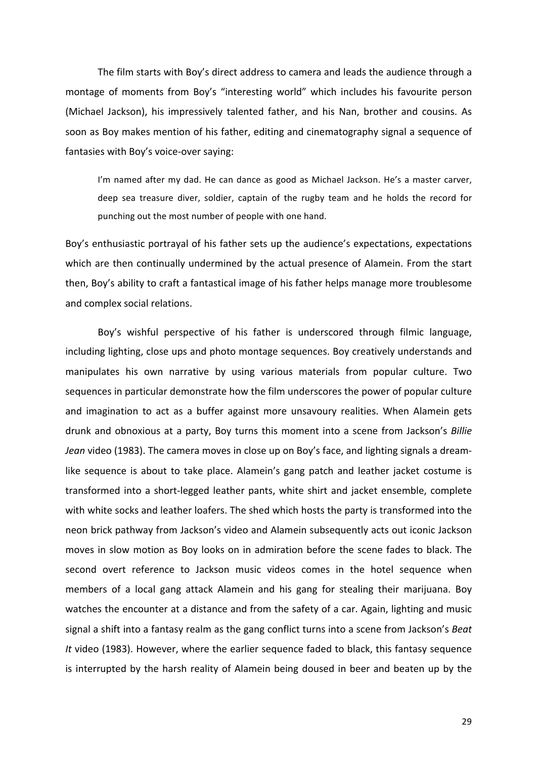The film starts with Boy's direct address to camera and leads the audience through a montage of moments from Boy's "interesting world" which includes his favourite person (Michael Jackson), his impressively talented father, and his Nan, brother and cousins. As soon as Boy makes mention of his father, editing and cinematography signal a sequence of fantasies with Boy's voice-over saying:

I'm named after my dad. He can dance as good as Michael Jackson. He's a master carver. deep sea treasure diver, soldier, captain of the rugby team and he holds the record for punching out the most number of people with one hand.

Boy's enthusiastic portrayal of his father sets up the audience's expectations, expectations which are then continually undermined by the actual presence of Alamein. From the start then, Boy's ability to craft a fantastical image of his father helps manage more troublesome and complex social relations.

Boy's wishful perspective of his father is underscored through filmic language, including lighting, close ups and photo montage sequences. Boy creatively understands and manipulates his own narrative by using various materials from popular culture. Two sequences in particular demonstrate how the film underscores the power of popular culture and imagination to act as a buffer against more unsavoury realities. When Alamein gets drunk and obnoxious at a party, Boy turns this moment into a scene from Jackson's *Billie* Jean video (1983). The camera moves in close up on Boy's face, and lighting signals a dreamlike sequence is about to take place. Alamein's gang patch and leather jacket costume is transformed into a short-legged leather pants, white shirt and jacket ensemble, complete with white socks and leather loafers. The shed which hosts the party is transformed into the neon brick pathway from Jackson's video and Alamein subsequently acts out iconic Jackson moves in slow motion as Boy looks on in admiration before the scene fades to black. The second overt reference to Jackson music videos comes in the hotel sequence when members of a local gang attack Alamein and his gang for stealing their marijuana. Boy watches the encounter at a distance and from the safety of a car. Again, lighting and music signal a shift into a fantasy realm as the gang conflict turns into a scene from Jackson's *Beat* It video (1983). However, where the earlier sequence faded to black, this fantasy sequence is interrupted by the harsh reality of Alamein being doused in beer and beaten up by the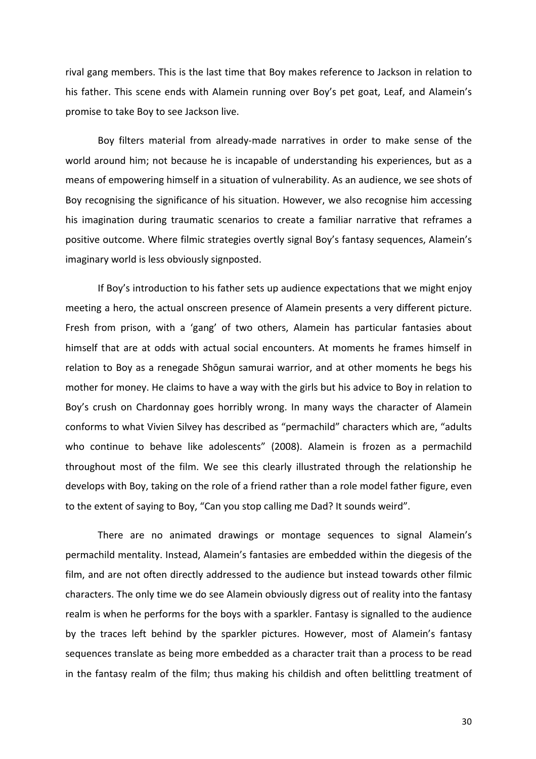rival gang members. This is the last time that Boy makes reference to Jackson in relation to his father. This scene ends with Alamein running over Boy's pet goat, Leaf, and Alamein's promise to take Boy to see Jackson live.

Boy filters material from already-made narratives in order to make sense of the world around him; not because he is incapable of understanding his experiences, but as a means of empowering himself in a situation of vulnerability. As an audience, we see shots of Boy recognising the significance of his situation. However, we also recognise him accessing his imagination during traumatic scenarios to create a familiar narrative that reframes a positive outcome. Where filmic strategies overtly signal Boy's fantasy sequences, Alamein's imaginary world is less obviously signposted.

If Boy's introduction to his father sets up audience expectations that we might enjoy meeting a hero, the actual onscreen presence of Alamein presents a very different picture. Fresh from prison, with a 'gang' of two others, Alamein has particular fantasies about himself that are at odds with actual social encounters. At moments he frames himself in relation to Boy as a renegade Shōgun samurai warrior, and at other moments he begs his mother for money. He claims to have a way with the girls but his advice to Boy in relation to Boy's crush on Chardonnay goes horribly wrong. In many ways the character of Alamein conforms to what Vivien Silvey has described as "permachild" characters which are, "adults who continue to behave like adolescents" (2008). Alamein is frozen as a permachild throughout most of the film. We see this clearly illustrated through the relationship he develops with Boy, taking on the role of a friend rather than a role model father figure, even to the extent of saying to Boy, "Can you stop calling me Dad? It sounds weird".

There are no animated drawings or montage sequences to signal Alamein's permachild mentality. Instead, Alamein's fantasies are embedded within the diegesis of the film, and are not often directly addressed to the audience but instead towards other filmic characters. The only time we do see Alamein obviously digress out of reality into the fantasy realm is when he performs for the boys with a sparkler. Fantasy is signalled to the audience by the traces left behind by the sparkler pictures. However, most of Alamein's fantasy sequences translate as being more embedded as a character trait than a process to be read in the fantasy realm of the film; thus making his childish and often belittling treatment of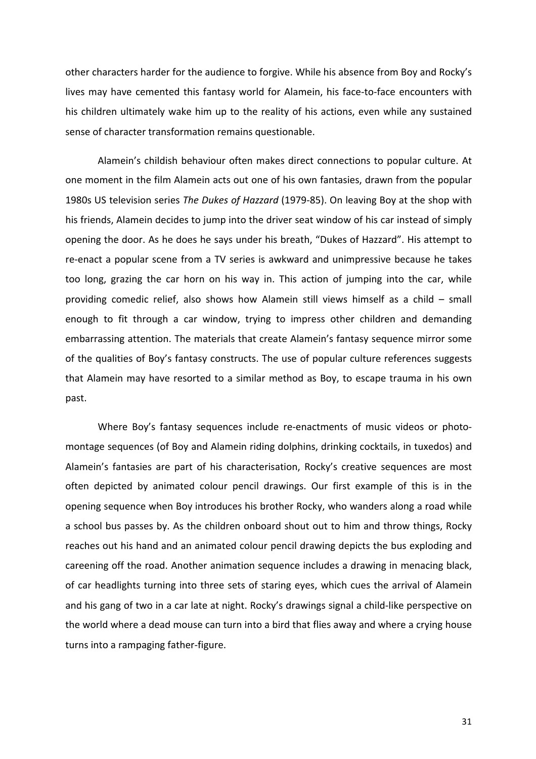other characters harder for the audience to forgive. While his absence from Boy and Rocky's lives may have cemented this fantasy world for Alamein, his face-to-face encounters with his children ultimately wake him up to the reality of his actions, even while any sustained sense of character transformation remains questionable.

Alamein's childish behaviour often makes direct connections to popular culture. At one moment in the film Alamein acts out one of his own fantasies, drawn from the popular 1980s US television series *The Dukes of Hazzard* (1979-85). On leaving Boy at the shop with his friends, Alamein decides to jump into the driver seat window of his car instead of simply opening the door. As he does he says under his breath, "Dukes of Hazzard". His attempt to re-enact a popular scene from a TV series is awkward and unimpressive because he takes too long, grazing the car horn on his way in. This action of jumping into the car, while providing comedic relief, also shows how Alamein still views himself as a child  $-$  small enough to fit through a car window, trying to impress other children and demanding embarrassing attention. The materials that create Alamein's fantasy sequence mirror some of the qualities of Boy's fantasy constructs. The use of popular culture references suggests that Alamein may have resorted to a similar method as Boy, to escape trauma in his own past.

Where Boy's fantasy sequences include re-enactments of music videos or photomontage sequences (of Boy and Alamein riding dolphins, drinking cocktails, in tuxedos) and Alamein's fantasies are part of his characterisation, Rocky's creative sequences are most often depicted by animated colour pencil drawings. Our first example of this is in the opening sequence when Boy introduces his brother Rocky, who wanders along a road while a school bus passes by. As the children onboard shout out to him and throw things, Rocky reaches out his hand and an animated colour pencil drawing depicts the bus exploding and careening off the road. Another animation sequence includes a drawing in menacing black, of car headlights turning into three sets of staring eyes, which cues the arrival of Alamein and his gang of two in a car late at night. Rocky's drawings signal a child-like perspective on the world where a dead mouse can turn into a bird that flies away and where a crying house turns into a rampaging father-figure.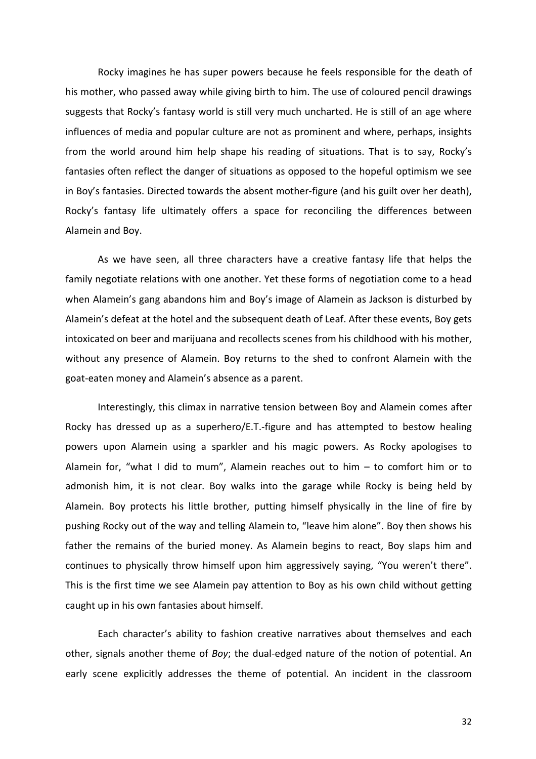Rocky imagines he has super powers because he feels responsible for the death of his mother, who passed away while giving birth to him. The use of coloured pencil drawings suggests that Rocky's fantasy world is still very much uncharted. He is still of an age where influences of media and popular culture are not as prominent and where, perhaps, insights from the world around him help shape his reading of situations. That is to say, Rocky's fantasies often reflect the danger of situations as opposed to the hopeful optimism we see in Boy's fantasies. Directed towards the absent mother-figure (and his guilt over her death), Rocky's fantasy life ultimately offers a space for reconciling the differences between Alamein and Boy.

As we have seen, all three characters have a creative fantasy life that helps the family negotiate relations with one another. Yet these forms of negotiation come to a head when Alamein's gang abandons him and Boy's image of Alamein as Jackson is disturbed by Alamein's defeat at the hotel and the subsequent death of Leaf. After these events, Boy gets intoxicated on beer and marijuana and recollects scenes from his childhood with his mother, without any presence of Alamein. Boy returns to the shed to confront Alamein with the goat-eaten money and Alamein's absence as a parent.

Interestingly, this climax in narrative tension between Boy and Alamein comes after Rocky has dressed up as a superhero/E.T.-figure and has attempted to bestow healing powers upon Alamein using a sparkler and his magic powers. As Rocky apologises to Alamein for, "what I did to mum", Alamein reaches out to him  $-$  to comfort him or to admonish him, it is not clear. Boy walks into the garage while Rocky is being held by Alamein. Boy protects his little brother, putting himself physically in the line of fire by pushing Rocky out of the way and telling Alamein to, "leave him alone". Boy then shows his father the remains of the buried money. As Alamein begins to react, Boy slaps him and continues to physically throw himself upon him aggressively saying, "You weren't there". This is the first time we see Alamein pay attention to Boy as his own child without getting caught up in his own fantasies about himself.

Each character's ability to fashion creative narratives about themselves and each other, signals another theme of *Boy*; the dual-edged nature of the notion of potential. An early scene explicitly addresses the theme of potential. An incident in the classroom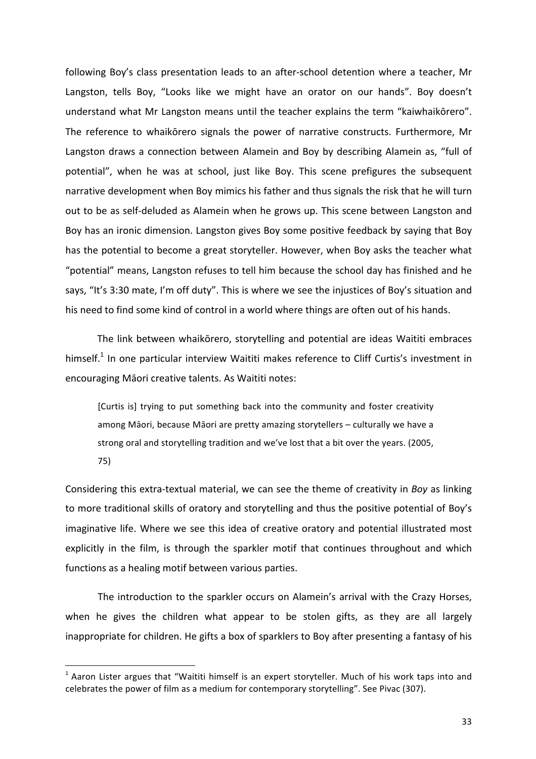following Boy's class presentation leads to an after-school detention where a teacher, Mr Langston, tells Boy, "Looks like we might have an orator on our hands". Boy doesn't understand what Mr Langston means until the teacher explains the term "kaiwhaikōrero". The reference to whaikorero signals the power of narrative constructs. Furthermore, Mr Langston draws a connection between Alamein and Boy by describing Alamein as, "full of potential", when he was at school, just like Boy. This scene prefigures the subsequent narrative development when Boy mimics his father and thus signals the risk that he will turn out to be as self-deluded as Alamein when he grows up. This scene between Langston and Boy has an ironic dimension. Langston gives Boy some positive feedback by saying that Boy has the potential to become a great storyteller. However, when Boy asks the teacher what "potential" means, Langston refuses to tell him because the school day has finished and he says, "It's 3:30 mate, I'm off duty". This is where we see the injustices of Boy's situation and his need to find some kind of control in a world where things are often out of his hands.

The link between whaikōrero, storytelling and potential are ideas Waititi embraces himself.<sup>1</sup> In one particular interview Waititi makes reference to Cliff Curtis's investment in encouraging Māori creative talents. As Waititi notes:

[Curtis is] trying to put something back into the community and foster creativity among Māori, because Māori are pretty amazing storytellers – culturally we have a strong oral and storytelling tradition and we've lost that a bit over the years. (2005, 75)

Considering this extra-textual material, we can see the theme of creativity in *Boy* as linking to more traditional skills of oratory and storytelling and thus the positive potential of Boy's imaginative life. Where we see this idea of creative oratory and potential illustrated most explicitly in the film, is through the sparkler motif that continues throughout and which functions as a healing motif between various parties.

The introduction to the sparkler occurs on Alamein's arrival with the Crazy Horses, when he gives the children what appear to be stolen gifts, as they are all largely inappropriate for children. He gifts a box of sparklers to Boy after presenting a fantasy of his

 

 $<sup>1</sup>$  Aaron Lister argues that "Waititi himself is an expert storyteller. Much of his work taps into and</sup> celebrates the power of film as a medium for contemporary storytelling". See Pivac (307).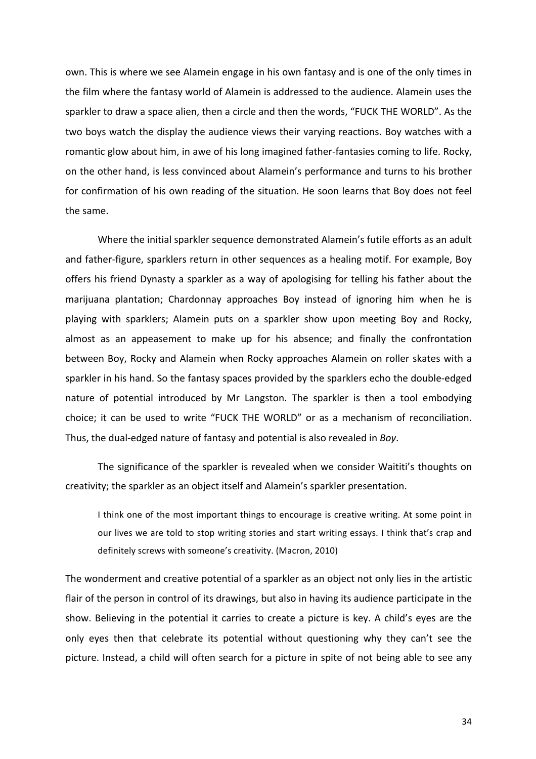own. This is where we see Alamein engage in his own fantasy and is one of the only times in the film where the fantasy world of Alamein is addressed to the audience. Alamein uses the sparkler to draw a space alien, then a circle and then the words, "FUCK THE WORLD". As the two boys watch the display the audience views their varying reactions. Boy watches with a romantic glow about him, in awe of his long imagined father-fantasies coming to life. Rocky, on the other hand, is less convinced about Alamein's performance and turns to his brother for confirmation of his own reading of the situation. He soon learns that Boy does not feel the same.

Where the initial sparkler sequence demonstrated Alamein's futile efforts as an adult and father-figure, sparklers return in other sequences as a healing motif. For example, Boy offers his friend Dynasty a sparkler as a way of apologising for telling his father about the marijuana plantation; Chardonnay approaches Boy instead of ignoring him when he is playing with sparklers; Alamein puts on a sparkler show upon meeting Boy and Rocky, almost as an appeasement to make up for his absence; and finally the confrontation between Boy, Rocky and Alamein when Rocky approaches Alamein on roller skates with a sparkler in his hand. So the fantasy spaces provided by the sparklers echo the double-edged nature of potential introduced by Mr Langston. The sparkler is then a tool embodying choice; it can be used to write "FUCK THE WORLD" or as a mechanism of reconciliation. Thus, the dual-edged nature of fantasy and potential is also revealed in *Boy*.

The significance of the sparkler is revealed when we consider Waititi's thoughts on creativity; the sparkler as an object itself and Alamein's sparkler presentation.

I think one of the most important things to encourage is creative writing. At some point in our lives we are told to stop writing stories and start writing essays. I think that's crap and definitely screws with someone's creativity. (Macron, 2010)

The wonderment and creative potential of a sparkler as an object not only lies in the artistic flair of the person in control of its drawings, but also in having its audience participate in the show. Believing in the potential it carries to create a picture is key. A child's eyes are the only eyes then that celebrate its potential without questioning why they can't see the picture. Instead, a child will often search for a picture in spite of not being able to see any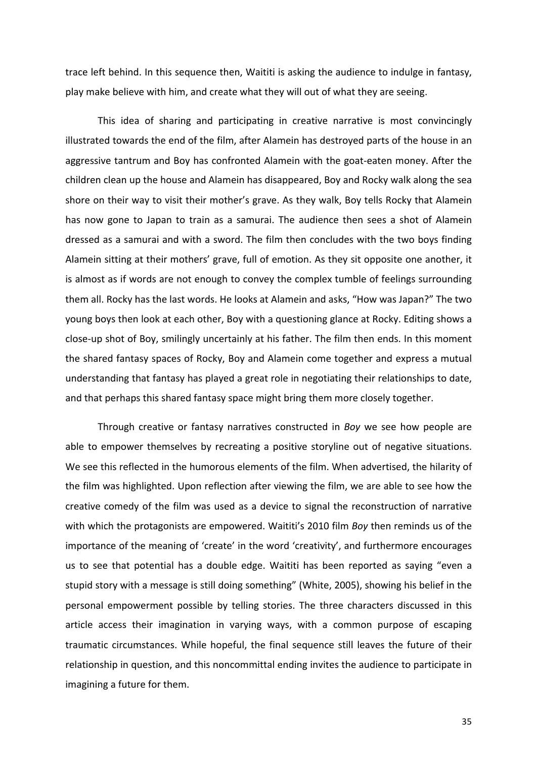trace left behind. In this sequence then, Waititi is asking the audience to indulge in fantasy, play make believe with him, and create what they will out of what they are seeing.

This idea of sharing and participating in creative narrative is most convincingly illustrated towards the end of the film, after Alamein has destroyed parts of the house in an aggressive tantrum and Boy has confronted Alamein with the goat-eaten money. After the children clean up the house and Alamein has disappeared, Boy and Rocky walk along the sea shore on their way to visit their mother's grave. As they walk, Boy tells Rocky that Alamein has now gone to Japan to train as a samurai. The audience then sees a shot of Alamein dressed as a samurai and with a sword. The film then concludes with the two boys finding Alamein sitting at their mothers' grave, full of emotion. As they sit opposite one another, it is almost as if words are not enough to convey the complex tumble of feelings surrounding them all. Rocky has the last words. He looks at Alamein and asks, "How was Japan?" The two young boys then look at each other, Boy with a questioning glance at Rocky. Editing shows a close-up shot of Boy, smilingly uncertainly at his father. The film then ends. In this moment the shared fantasy spaces of Rocky, Boy and Alamein come together and express a mutual understanding that fantasy has played a great role in negotiating their relationships to date, and that perhaps this shared fantasy space might bring them more closely together.

Through creative or fantasy narratives constructed in *Boy* we see how people are able to empower themselves by recreating a positive storyline out of negative situations. We see this reflected in the humorous elements of the film. When advertised, the hilarity of the film was highlighted. Upon reflection after viewing the film, we are able to see how the creative comedy of the film was used as a device to signal the reconstruction of narrative with which the protagonists are empowered. Waititi's 2010 film *Boy* then reminds us of the importance of the meaning of 'create' in the word 'creativity', and furthermore encourages us to see that potential has a double edge. Waititi has been reported as saying "even a stupid story with a message is still doing something" (White, 2005), showing his belief in the personal empowerment possible by telling stories. The three characters discussed in this article access their imagination in varying ways, with a common purpose of escaping traumatic circumstances. While hopeful, the final sequence still leaves the future of their relationship in question, and this noncommittal ending invites the audience to participate in imagining a future for them.

35